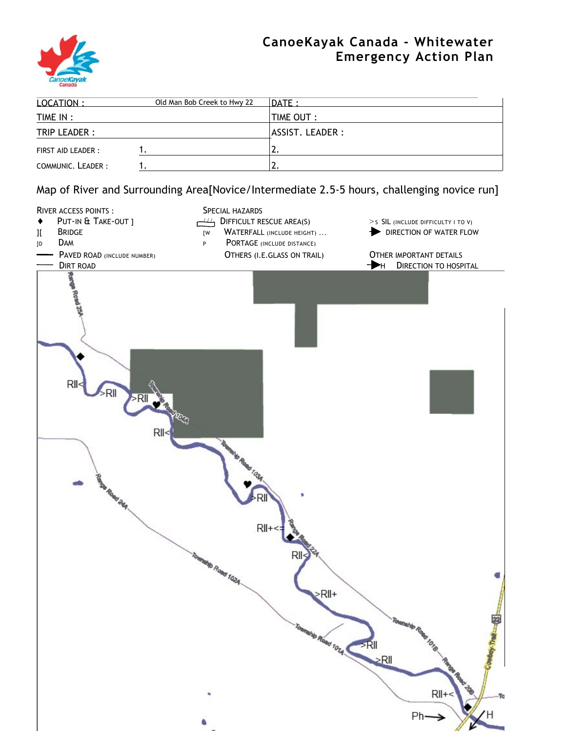

## **CanoeKayak Canada - Whitewater Emergency Action Plan**

| LOCATION:          | Old Man Bob Creek to Hwy 22 | $\overline{DATE}$ : |
|--------------------|-----------------------------|---------------------|
| TIME IN :          |                             | <b>TIME OUT :</b>   |
| TRIP LEADER :      |                             | ASSIST. LEADER :    |
| FIRST AID LEADER : |                             |                     |
| COMMUNIC. LEADER:  |                             | <u>. . </u>         |

Map of River and Surrounding Area[Novice/Intermediate 2.5-5 hours, challenging novice run]